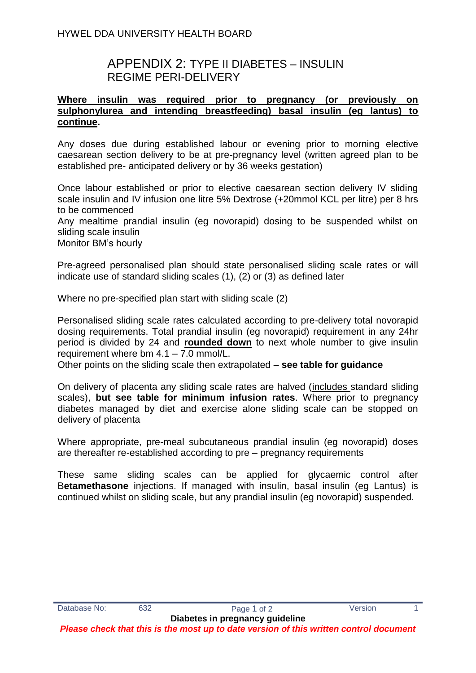# APPENDIX 2: TYPE II DIABETES – INSULIN REGIME PERI-DELIVERY

#### **Where insulin was required prior to pregnancy (or previously on sulphonylurea and intending breastfeeding) basal insulin (eg lantus) to continue.**

Any doses due during established labour or evening prior to morning elective caesarean section delivery to be at pre-pregnancy level (written agreed plan to be established pre- anticipated delivery or by 36 weeks gestation)

Once labour established or prior to elective caesarean section delivery IV sliding scale insulin and IV infusion one litre 5% Dextrose (+20mmol KCL per litre) per 8 hrs to be commenced

Any mealtime prandial insulin (eg novorapid) dosing to be suspended whilst on sliding scale insulin

Monitor BM's hourly

Pre-agreed personalised plan should state personalised sliding scale rates or will indicate use of standard sliding scales (1), (2) or (3) as defined later

Where no pre-specified plan start with sliding scale (2)

Personalised sliding scale rates calculated according to pre-delivery total novorapid dosing requirements. Total prandial insulin (eg novorapid) requirement in any 24hr period is divided by 24 and **rounded down** to next whole number to give insulin requirement where bm 4.1 – 7.0 mmol/L.

Other points on the sliding scale then extrapolated – **see table for guidance**

On delivery of placenta any sliding scale rates are halved (includes standard sliding scales), **but see table for minimum infusion rates**. Where prior to pregnancy diabetes managed by diet and exercise alone sliding scale can be stopped on delivery of placenta

Where appropriate, pre-meal subcutaneous prandial insulin (eg novorapid) doses are thereafter re-established according to pre – pregnancy requirements

These same sliding scales can be applied for glycaemic control after B**etamethasone** injections. If managed with insulin, basal insulin (eg Lantus) is continued whilst on sliding scale, but any prandial insulin (eg novorapid) suspended.